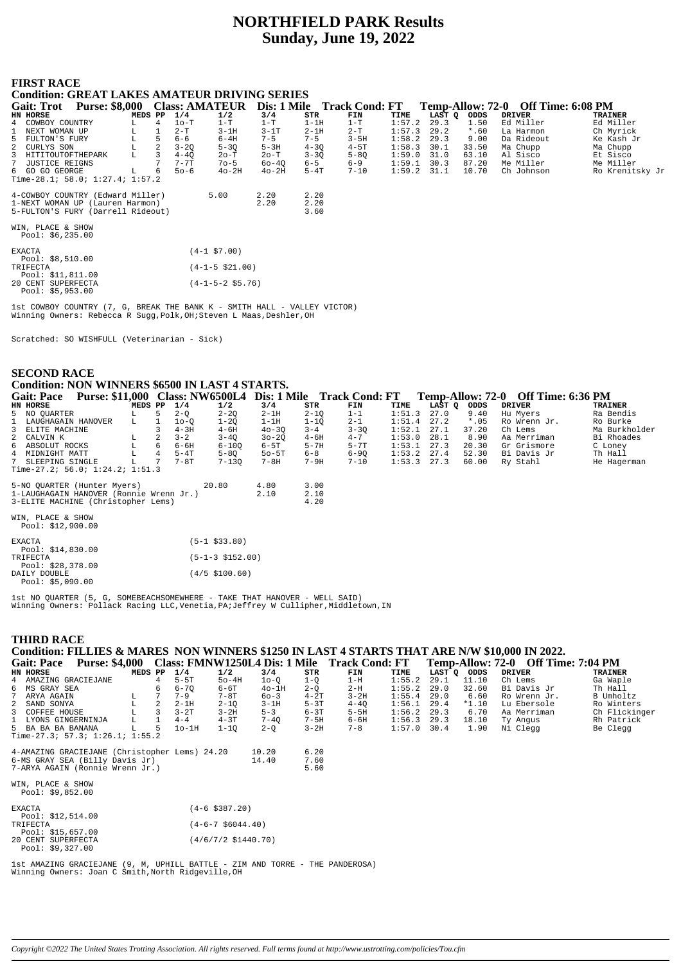# **NORTHFIELD PARK Results Sunday, June 19, 2022**

# **FIRST RACE**

# **Condition: GREAT LAKES AMATEUR DRIVING SERIES**

| <b>Purse: \$8,000</b><br><b>Gait: Trot</b> |   | <b>Class: AMATEUR</b> |             | Dis: 1 Mile |          | <b>Track Cond: FT</b> |        |        |         | Temp-Allow: 72-0 Off Time: 6:08 PM |                 |
|--------------------------------------------|---|-----------------------|-------------|-------------|----------|-----------------------|--------|--------|---------|------------------------------------|-----------------|
| MEDS PP<br>HN HORSE                        |   | 1/4                   | 1/2         | 3/4         | STR      | FIN                   | TIME   | LAST O | ODDS    | <b>DRIVER</b>                      | <b>TRAINER</b>  |
| COWBOY COUNTRY<br>L.<br>4                  |   | $10-T$                | $1-T$       | $1-T$       | $1-1H$   | $1-T$                 | 1:57.2 | 29.3   | 1.50    | Ed Miller                          | Ed Miller       |
| NEXT WOMAN UP<br>L.                        |   | $2-T$                 | $3-1H$      | $3-1T$      | $2-1H$   | 2-T                   | 1:57.3 | 29.2   | $*$ .60 | La Harmon                          | Ch Myrick       |
| FULTON'S FURY<br>5.                        |   | $6 - 6$               | $6-4H$      | $7 - 5$     | $7 - 5$  | $3 - 5H$              | 1:58.2 | 29.3   | 9.00    | Da Rideout                         | Ke Kash Jr      |
| 2 CURLYS SON<br>L                          | 2 | $3 - 20$              | $5 - 30$    | $5-3H$      | $4 - 30$ | $4-5T$                | 1:58.3 | 30.1   | 33.50   | Ma Chupp                           | Ma Chupp        |
| 3 HITITOUTOFTHEPARK<br>L.                  |   | $4 - 40$              | $2o-T$      | $2o-T$      | $3 - 30$ | $5 - 80$              | 1:59.0 | 31.0   | 63.10   | Al Sisco                           | Et Sisco        |
| 7 JUSTICE REIGNS                           |   | $7 - 7T$              | $70 - 5$    | $60 - 40$   | $6 - 5$  | $6 - 9$               | 1:59.1 | 30.3   | 87.20   | Me Miller                          | Me Miller       |
| 6 GO GO GEORGE<br>L.                       | 6 | $50 - 6$              | $40-2H$     | $40-2H$     | $5-4T$   | $7 - 10$              | 1:59.2 | 31.1   | 10.70   | Ch Johnson                         | Ro Krenitsky Jr |
| Time-28.1; 58.0; $1:27.4$ ; $1:57.2$       |   |                       |             |             |          |                       |        |        |         |                                    |                 |
| 4-COWBOY COUNTRY (Edward Miller)           |   |                       | 5.00        | 2.20        | 2.20     |                       |        |        |         |                                    |                 |
| 1-NEXT WOMAN UP (Lauren Harmon)            |   |                       |             | 2.20        | 2.20     |                       |        |        |         |                                    |                 |
| 5-FULTON'S FURY (Darrell Rideout)          |   |                       |             |             | 3.60     |                       |        |        |         |                                    |                 |
|                                            |   |                       |             |             |          |                       |        |        |         |                                    |                 |
| WIN, PLACE & SHOW<br>Pool: $$6,235.00$     |   |                       |             |             |          |                       |        |        |         |                                    |                 |
| FYACTA                                     |   |                       | 14-1 57 00) |             |          |                       |        |        |         |                                    |                 |

| $P_1 \wedge A_1$ . $\vdots$ $A_1$ |                    | ( + - 1 > / . UU /        |
|-----------------------------------|--------------------|---------------------------|
|                                   | Pool: $$8.510.00$  |                           |
| TRIFECTA                          |                    | $(4-1-5 \; $21.00)$       |
|                                   | Pool: \$11,811.00  |                           |
|                                   | 20 CENT SUPERFECTA | $(4-1-5-2 \text{ }55.76)$ |
|                                   | Pool: $$5,953.00$  |                           |

1st COWBOY COUNTRY (7, G, BREAK THE BANK K - SMITH HALL - VALLEY VICTOR) Winning Owners: Rebecca R Sugg, Polk, OH; Steven L Maas, Deshler, OH

Scratched: SO WISHFULL (Veterinarian - Sick)

#### **SECOND RACE**

# **Condition: NON WINNERS \$6500 IN LAST 4 STARTS.**

| <b>Gait: Pace</b>                       |         |    |          |           |           |          | Purse: \$11,000 Class: NW6500L4 Dis: 1 Mile Track Cond: FT |               |        |         | Temp-Allow: 72-0 Off Time: 6:36 PM |                |
|-----------------------------------------|---------|----|----------|-----------|-----------|----------|------------------------------------------------------------|---------------|--------|---------|------------------------------------|----------------|
| HN HORSE                                | MEDS PP |    | 1/4      | 1/2       | 3/4       | STR      | FIN                                                        | TIME          | LAST O | ODDS    | <b>DRIVER</b>                      | <b>TRAINER</b> |
| 5 NO OUARTER                            | L       | 5. | $2 - 0$  | $2 - 20$  | $2-1H$    | $2 - 10$ | $1 - 1$                                                    | 1:51.3        | 27.0   | 9.40    | Hu Myers                           | Ra Bendis      |
| 1 LAUGHAGAIN HANOVER                    | L       |    | 10-0     | 1-20      | $1-1H$    | $1 - 10$ | $2 - 1$                                                    | 1:51.4        | 27.2   | $*$ .05 | Ro Wrenn Jr.                       | Ro Burke       |
| 3 ELITE MACHINE                         |         |    | $4-3H$   | $4 - 6H$  | $40 - 30$ | $3 - 4$  | $3 - 30$                                                   | $1:52.1$ 27.1 |        | 37.20   | Ch Lems                            | Ma Burkholder  |
| 2 CALVIN K                              | L       |    | $3 - 2$  | $3 - 40$  | $30 - 20$ | $4-6H$   | $4 - 7$                                                    | 1:53.0        | 28.1   | 8.90    | Aa Merriman                        | Bi Rhoades     |
| 6 ABSOLUT ROCKS                         |         | 6. | $6 - 6H$ | $6 - 100$ | $6-5T$    | $5 - 7H$ | $5 - 7T$                                                   | 1:53.1        | 27.3   | 20.30   | Gr Grismore                        | C Loney        |
| 4 MIDNIGHT MATT                         |         | 4  | $5-4T$   | $5 - 80$  | $50 - 5T$ | $6 - 8$  | $6 - 90$                                                   | $1:53.2$ 27.4 |        | 52.30   | Bi Davis Jr                        | Th Hall        |
| 7 SLEEPING SINGLE                       |         |    | 7-8T     | $7 - 130$ | $7 - 8H$  | $7-9H$   | $7 - 10$                                                   | $1:53.3$ 27.3 |        | 60.00   | Ry Stahl                           | He Hagerman    |
| Time-27.2; 56.0; 1:24.2; 1:51.3         |         |    |          |           |           |          |                                                            |               |        |         |                                    |                |
| 5-NO OUARTER (Hunter Myers)             |         |    |          | 20.80     | 4.80      | 3.00     |                                                            |               |        |         |                                    |                |
| 1-LAUGHAGAIN HANOVER (Ronnie Wrenn Jr.) |         |    |          |           | 2.10      | 2.10     |                                                            |               |        |         |                                    |                |
| 3-ELITE MACHINE (Christopher Lems)      |         |    |          |           |           | 4.20     |                                                            |               |        |         |                                    |                |
| WIN PLACE & SHOW                        |         |    |          |           |           |          |                                                            |               |        |         |                                    |                |

Pool: \$12,900.00

| <b>EXACTA</b>      | $(5-1$ \$33.80)          |
|--------------------|--------------------------|
| Pool: $$14.830.00$ |                          |
| TRIFECTA           | $(5-1-3 \; $152.00)$     |
| Pool: \$28,378.00  |                          |
| DATLY DOUBLE       | $(4/5 \text{ } $100.60)$ |
| Pool: \$5.090.00   |                          |

1st NO QUARTER (5, G, SOMEBEACHSOMEWHERE - TAKE THAT HANOVER - WELL SAID) Winning Owners: Pollack Racing LLC, Venetia, PA; Jeffrey W Cullipher, Middletown, IN

#### **THIRD RACE** Condition: FILLIES & MARES NON WINNERS \$1250 IN LAST 4 STARTS THAT ARE N/W \$10,000 IN 2022. Gait: Pace Purse: \$4,000 Class: FMNW1250L4 Dis: 1 Mile Track Cond: FT<br>
EN HORSE PURSE PREDS PP 1/4 1/2 3/4 STR FIN Temp-Allow: 72-0 Off Time: 7:04 PM  $3/4$ <br> $10-Q$  $\begin{array}{c} {\tt ODDS}\\ 11.10 \end{array}$ DRIVER LAST ົດ **TRAINER**  $1-Q$ <br> $2-Q$ <br> $4-2T$ <br> $5-3T$ AMAZING GRACIEJANE  $\frac{1}{4}$  $5-5T$  $50 - 4H$  $1-H$  $1:55.2$  $\frac{111}{29.1}$ Ch Lems Ga Waple  $\overline{4}$  $6 - 6T$ <br>  $7 - 8T$  $6 - 7Q$ <br>  $7 - 9$ <br>  $2 - 1H$  $29.0$ <br> $29.0$ <br> $29.4$  $32.60$ <br> $6.60$ <br> $*1.10$  $\begin{array}{c} 6 \\ 7 \\ 2 \end{array}$ MS GRAY SEA  $\begin{array}{c} 6 \\ 7 \end{array}$  $40-1H$ <br> $60-3$  $2-H$  $1:55.2$ Bi Davis Jr Th Hall ARYA AGAIN<br>SAND SONYA  $3 - 2H$ <br> $4 - 4Q$  $1:55.4$  $\overline{R}$ o Wrenn Jr. B Umholtz  $\mathbf{L}$  $2 - 10$  $3-1H$  $1:56.1$  $T_{\rm A}$  $\overline{2}$ Lu Ebersole Ro Winters  $3 - 2T$ <br> $4 - 4$  $3 - 2H$ <br> $4 - 3T$  $5 - 3$ <br>7 – 40  $6 - 3T$ <br> $7 - 5H$  $1:56.2$ <br> $1:56.3$ COFFEE HOUSE  $5-5H$  $29.3$  $6.70$ Ch Flickinger  $\overline{\mathbf{3}}$  $\bar{L}$  $\overline{\mathbf{3}}$ Aa Merriman LUCELL HOUSE<br>LYONS GINGERNINJA<br>BA BA BA BANANA  $6 - 6H$  $29.3$ 18,10 Ty Angus<br>Ni Clegg  $\mathbf{1}$  $T_{\rm H}$  $\mathbf{1}$ Rh Patrick Be Clegg  $\overline{5}$  $\overline{L}$  $\overline{5}$  $10-1H$  $1 - 1Q$  $2-\overline{Q}$  $3 - 2H$  $7 - 8$  $1:570$  $-30.4$  $-1.90$ Time-27.3; 57.3; 1:26.1;  $\overline{1}$ :55.2 4-AMAZING GRACIEJANE (Christopher Lems) 24.20  $10.20$  $6.20$ 6-MS GRAY SEA (Billy Davis Jr)<br>7-ARYA AGAIN (Ronnie Wrenn Jr.)  $7.60$ <br>5.60 14.40

| WIN, PLACE & SHOW<br>Pool: $$9,852.00$ |                        |
|----------------------------------------|------------------------|
| <b>EXACTA</b>                          | $(4-6 \; $387.20)$     |
| Pool: \$12,514.00                      |                        |
| TRIFECTA                               | $(4-6-7 \ $6044.40)$   |
| Pool: \$15,657.00                      |                        |
| 20 CENT SUPERFECTA                     | $(4/6/7/2 \ $1440.70)$ |
| $P_{00}$ : \$9.327 00                  |                        |

1st AMAZING GRACIEJANE (9, M, UPHILL BATTLE - ZIM AND TORRE - THE PANDEROSA)<br>Winning Owners: Joan C Smith, North Ridgeville, OH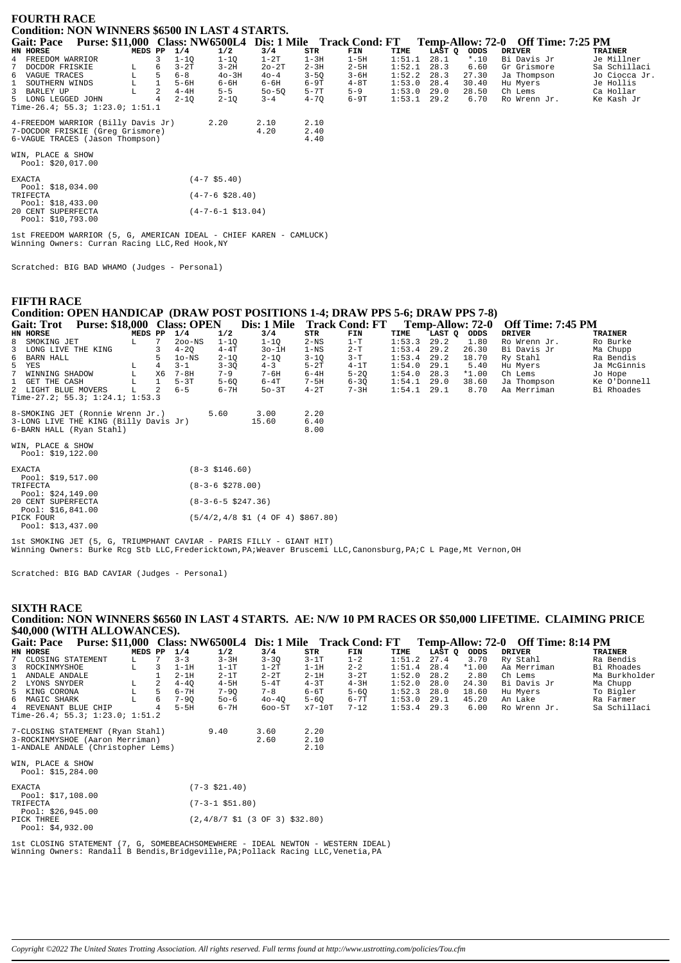| <b>FOURTH RACE</b>                                                              |             |   |          |                            |           |          |          |        |        |         |                                    |                |
|---------------------------------------------------------------------------------|-------------|---|----------|----------------------------|-----------|----------|----------|--------|--------|---------|------------------------------------|----------------|
| <b>Condition: NON WINNERS \$6500 IN LAST 4 STARTS.</b>                          |             |   |          |                            |           |          |          |        |        |         |                                    |                |
| Purse: \$11,000 Class: NW6500L4 Dis: 1 Mile Track Cond: FT<br><b>Gait: Pace</b> |             |   |          |                            |           |          |          |        |        |         | Temp-Allow: 72-0 Off Time: 7:25 PM |                |
| HN HORSE                                                                        | MEDS PP     |   | 1/4      | 1/2                        | 3/4       | STR      | FIN      | TIME   | LAST Q | ODDS    | DRIVER                             | <b>TRAINER</b> |
| FREEDOM WARRIOR<br>4                                                            |             | 3 | $1 - 10$ | $1 - 1Q$                   | $1-2T$    | $1-3H$   | $1-5H$   | 1:51.1 | 28.1   | $*$ .10 | Bi Davis Jr                        | Je Millner     |
| DOCDOR FRISKIE                                                                  | L           | 6 | $3 - 2T$ | $3-2H$                     | $20-2T$   | $2 - 3H$ | $2-5H$   | 1:52.1 | 28.3   | 6.60    | Gr Grismore                        | Sa Schillaci   |
| 6 VAGUE TRACES                                                                  | $\mathbf L$ |   | $6 - 8$  | $40 - 3H$                  | $40 - 4$  | $3 - 5Q$ | $3 - 6H$ | 1:52.2 | 28.3   | 27.30   | Ja Thompson                        | Jo Ciocca Jr.  |
| SOUTHERN WINDS<br>1                                                             | L           |   | $5 - 6H$ | 6-6H                       | 6-6H      | $6-9T$   | $4-8T$   | 1:53.0 | 28.4   | 30.40   | Hu Myers                           | Je Hollis      |
| 3<br>BARLEY UP                                                                  |             | 2 | $4-4H$   | $5 - 5$                    | $50 - 50$ | $5-7T$   | $5 - 9$  | 1:53.0 | 29.0   | 28.50   | Ch Lems                            | Ca Hollar      |
| 5 LONG LEGGED JOHN                                                              |             |   | $2 - 10$ | $2 - 1Q$                   | $3 - 4$   | $4 - 70$ | 6-9T     | 1:53.1 | 29.2   | 6.70    | Ro Wrenn Jr.                       | Ke Kash Jr     |
| Time-26.4; 55.3; 1:23.0; 1:51.1                                                 |             |   |          |                            |           |          |          |        |        |         |                                    |                |
|                                                                                 |             |   |          |                            |           |          |          |        |        |         |                                    |                |
| 4-FREEDOM WARRIOR (Billy Davis Jr)                                              |             |   |          | 2.20                       | 2.10      | 2.10     |          |        |        |         |                                    |                |
| 7-DOCDOR FRISKIE (Greg Grismore)                                                |             |   |          |                            | 4.20      | 2.40     |          |        |        |         |                                    |                |
| 6-VAGUE TRACES (Jason Thompson)                                                 |             |   |          |                            |           | 4.40     |          |        |        |         |                                    |                |
|                                                                                 |             |   |          |                            |           |          |          |        |        |         |                                    |                |
| WIN, PLACE & SHOW                                                               |             |   |          |                            |           |          |          |        |        |         |                                    |                |
| Pool: \$20,017.00                                                               |             |   |          |                            |           |          |          |        |        |         |                                    |                |
|                                                                                 |             |   |          |                            |           |          |          |        |        |         |                                    |                |
| EXACTA                                                                          |             |   |          | $(4-7$ \$5.40)             |           |          |          |        |        |         |                                    |                |
| Pool: \$18,034.00                                                               |             |   |          |                            |           |          |          |        |        |         |                                    |                |
| TRIFECTA                                                                        |             |   |          | $(4 - 7 - 6 \ $28.40)$     |           |          |          |        |        |         |                                    |                |
| Pool: $$18,433.00$                                                              |             |   |          |                            |           |          |          |        |        |         |                                    |                |
| 20 CENT SUPERFECTA                                                              |             |   |          | $(4 - 7 - 6 - 1 \ $13.04)$ |           |          |          |        |        |         |                                    |                |
| Pool: \$10,793.00                                                               |             |   |          |                            |           |          |          |        |        |         |                                    |                |

1st FREEDOM WARRIOR (5, G, AMERICAN IDEAL - CHIEF KAREN - CAMLUCK) Winning Owners: Curran Racing LLC, Red Hook, NY

Scratched: BIG BAD WHAMO (Judges - Personal)

#### **FIFTH RACE**

# Condition: OPEN HANDICAP (DRAW POST POSITIONS 1-4; DRAW PPS 5-6; DRAW PPS 7-8)

| <b>Purse: \$18,000</b><br><b>Gait: Trot</b> |         |    | <b>Class: OPEN</b> |          | Dis: 1 Mile |          | <b>Track Cond: FT</b> |               | <b>Temp-Allow: 72-0</b> |         | <b>Off Time: 7:45 PM</b> |                |
|---------------------------------------------|---------|----|--------------------|----------|-------------|----------|-----------------------|---------------|-------------------------|---------|--------------------------|----------------|
| HN HORSE                                    | MEDS PP |    | 1/4                | 1/2      | 3/4         | STR      | FIN                   | TIME          | LAST Q                  | ODDS    | <b>DRIVER</b>            | <b>TRAINER</b> |
| 8 SMOKING JET                               |         |    | $200 - NS$         | $1 - 10$ | $1 - 10$    | $2-NS$   | $1-T$                 | 1:53.3        | 29.2                    | 1.80    | Ro Wrenn Jr.             | Ro Burke       |
| 3 LONG LIVE THE KING                        |         |    | $4 - 20$           | $4 - 4T$ | $3o-1H$     | 1-NS     | $2-T$                 | 1:53.4        | 29.2                    | 26.30   | Bi Davis Jr              | Ma Chupp       |
| 6 BARN HALL                                 |         |    | $10-NS$            | $2 - 10$ | $2 - 10$    | $3 - 10$ | $3-T$                 | $1:53.4$ 29.2 |                         | 18.70   | Ry Stahl                 | Ra Bendis      |
| 5 YES                                       |         | 4  | $-3 - 1$           | $3 - 30$ | $4 - 3$     | $5-2T$   | $4-1T$                | 1:54.0        | 29.1                    | 5.40    | Hu Mvers                 | Ja McGinnis    |
| 7 WINNING SHADOW                            |         | X6 | $7 - 8H$           | $7 - 9$  | $7 - 6H$    | $6-4H$   | $5 - 20$              | 1:54.0        | 28.3                    | $*1.00$ | Ch Lems                  | Jo Hope        |
| 1 GET THE CASH                              |         |    | $5-3T$             | $5 - 60$ | $6-4T$      | 7-5H     | $6 - 30$              | 1:54.1        | 29.0                    | 38.60   | Ja Thompson              | Ke O'Donnell   |
| 2 LIGHT BLUE MOVERS                         |         |    | $6 - 5$            | $6 - 7H$ | $50 - 3T$   | $4-2T$   | $7 - 3H$              | 1:54.1        | 29.1                    | 8.70    | Aa Merriman              | Bi Rhoades     |
| Time-27.2; 55.3; 1:24.1; 1:53.3             |         |    |                    |          |             |          |                       |               |                         |         |                          |                |

| 8-SMOKING JET (Ronnie Wrenn Jr.)                                  | 560 | 3.00  | 2.20         |
|-------------------------------------------------------------------|-----|-------|--------------|
| 3-LONG LIVE THE KING (Billy Davis Jr)<br>6-BARN HALL (Ryan Stahl) |     | 15.60 | 6.40<br>8.00 |
| .                                                                 |     |       |              |

WIN, PLACE & SHOW<br>Pool: \$19,122.00

| <b>EXACTA</b>                            | $(8-3 \; $146.60)$                    |
|------------------------------------------|---------------------------------------|
| Pool: \$19,517.00<br>TRIFECTA            | $(8-3-6 \; $278.00)$                  |
| Pool: $$24,149.00$                       |                                       |
| 20 CENT SUPERFECTA<br>Pool: $$16,841.00$ | $(8-3-6-5 \ $247.36)$                 |
| PICK FOUR<br>Pool: \$13,437.00           | $(5/4/2, 4/8, 51, (4$ OF 4) \$867.80) |

lst SMOKING JET (5, G, TRIUMPHANT CAVIAR - PARIS FILLY - GIANT HIT)<br>Winning Owners: Burke Rcg Stb LLC,Fredericktown,PA;Weaver Bruscemi LLC,Canonsburg,PA;C L Page,Mt Vernon,OH

Scratched: BIG BAD CAVIAR (Judges - Personal)

### **SIXTH RACE** Condition: NON WINNERS \$6560 IN LAST 4 STARTS. AE: N/W 10 PM RACES OR \$50,000 LIFETIME. CLAIMING PRICE \$40,000 (WITH ALLOWANCES).

| <b>Gait: Pace</b>                       | <b>Purse: \$11,000</b> |         |   |          | Class: NW6500L4   | Dis: 1 Mile Track Cond: FT                                                  |          |          |        |        |         |               | Temp-Allow: 72-0 Off Time: 8:14 PM |                |
|-----------------------------------------|------------------------|---------|---|----------|-------------------|-----------------------------------------------------------------------------|----------|----------|--------|--------|---------|---------------|------------------------------------|----------------|
| HN HORSE                                |                        | MEDS PP |   | 1/4      | 1/2               | 3/4                                                                         | STR      | FIN      | TIME   | LAST Q | ODDS    | <b>DRIVER</b> |                                    | <b>TRAINER</b> |
| 7 CLOSING STATEMENT                     |                        | L       |   | $3 - 3$  | $3 - 3H$          | $3 - 3Q$                                                                    | $3-1T$   | $1 - 2$  | 1:51.2 | 27.4   | 3.70    |               | Ry Stahl                           | Ra Bendis      |
| 3 ROCKINMYSHOE                          |                        | L       |   | $1-1H$   | $1-1T$            | $1-2T$                                                                      | $1-1H$   | $2 - 2$  | 1:51.4 | 28.4   | $*1.00$ |               | Aa Merriman                        | Bi Rhoades     |
| ANDALE ANDALE                           |                        |         |   | $2-1H$   | $2-1T$            | $2 - 2T$                                                                    | $2 - 1H$ | $3-2T$   | 1:52.0 | 28.2   | 2.80    |               | Ch Lems                            | Ma Burkholder  |
| 2 LYONS SNYDER                          |                        | L.      |   | $4 - 40$ | $4-5H$            | $5-4T$                                                                      | $4-3T$   | $4-3H$   | 1:52.0 | 28.0   | 24.30   |               | Bi Davis Jr                        | Ma Chupp       |
| 5 KING CORONA                           |                        | L       | 5 | $6 - 7H$ | $7 - 90$          | $7 - 8$                                                                     | $6 - 6T$ | $5 - 60$ | 1:52.3 | 28.0   | 18.60   |               | Hu Myers                           | To Bigler      |
| 6 MAGIC SHARK                           |                        |         | 6 | $7 - 90$ | $50 - 6$          | $40 - 40$                                                                   | $5 - 60$ | $6 - 7T$ | 1:53.0 | 29.1   | 45.20   |               | An Lake                            | Ra Farmer      |
| 4 REVENANT BLUE CHIP                    |                        |         |   | $5-5H$   | $6 - 7H$          | $600 - 5T$                                                                  | x7-10T   | $7 - 12$ | 1:53.4 | 29.3   | 6.00    |               | Ro Wrenn Jr.                       | Sa Schillaci   |
| Time-26.4; 55.3; 1:23.0; 1:51.2         |                        |         |   |          |                   |                                                                             |          |          |        |        |         |               |                                    |                |
| 7-CLOSING STATEMENT (Ryan Stahl)        |                        |         |   |          | 9.40              | 3.60                                                                        | 2.20     |          |        |        |         |               |                                    |                |
| 3-ROCKINMYSHOE (Aaron Merriman)         |                        |         |   |          |                   | 2.60                                                                        | 2.10     |          |        |        |         |               |                                    |                |
| 1-ANDALE ANDALE (Christopher Lems)      |                        |         |   |          |                   |                                                                             | 2.10     |          |        |        |         |               |                                    |                |
| WIN, PLACE & SHOW<br>Pool: $$15,284.00$ |                        |         |   |          |                   |                                                                             |          |          |        |        |         |               |                                    |                |
| <b>EXACTA</b><br>Pool: $$17,108.00$     |                        |         |   |          | $(7-3 \; $21.40)$ |                                                                             |          |          |        |        |         |               |                                    |                |
| TRIFECTA<br>Pool: $$26,945.00$          |                        |         |   |          | $(7-3-1$ \$51.80) |                                                                             |          |          |        |        |         |               |                                    |                |
| PICK THREE<br>Pool: $$4.932.00$         |                        |         |   |          |                   | $(2,4/8/7 \text{ } $1 \text{ } (3 \text{ } 0F \text{ } 3) \text{ } $32.80)$ |          |          |        |        |         |               |                                    |                |

lst CLOSING STATEMENT (7, G, SOMEBEACHSOMEWHERE - IDEAL NEWTON - WESTERN IDEAL)<br>Winning Owners: Randall B Bendis,Bridgeville,PA;Pollack Racing LLC,Venetia,PA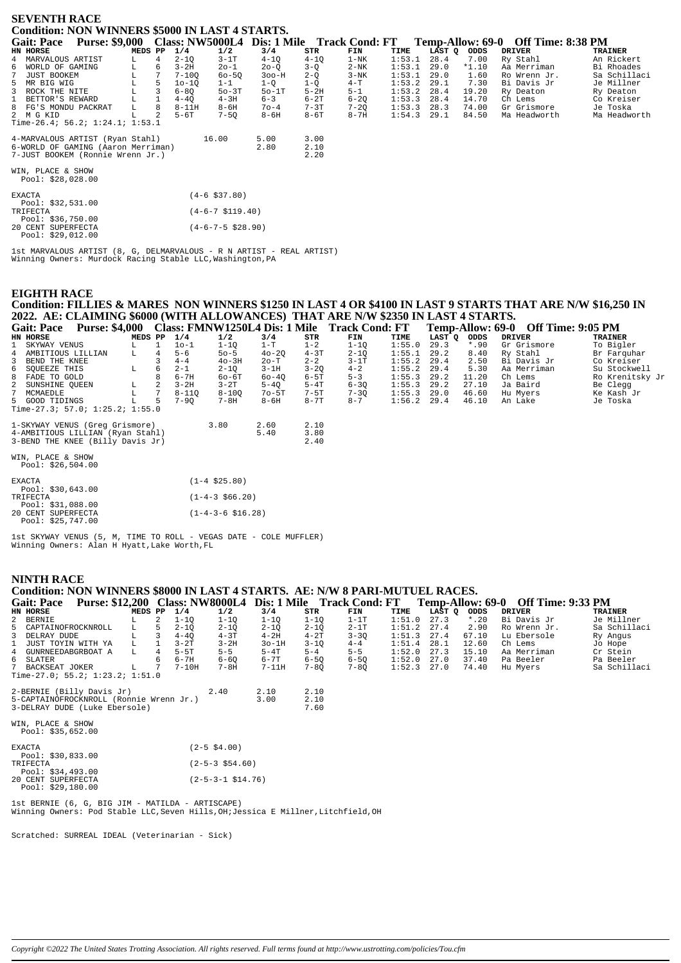|    | <b>SEVENTH RACE</b>                     |                                                           |         |   |           |           |          |          |          |        |             |         |                                    |              |
|----|-----------------------------------------|-----------------------------------------------------------|---------|---|-----------|-----------|----------|----------|----------|--------|-------------|---------|------------------------------------|--------------|
|    |                                         | <b>Condition: NON WINNERS \$5000 IN LAST 4 STARTS.</b>    |         |   |           |           |          |          |          |        |             |         |                                    |              |
|    | <b>Gait: Pace</b>                       | Purse: \$9,000 Class: NW5000L4 Dis: 1 Mile Track Cond: FT |         |   |           |           |          |          |          |        |             |         | Temp-Allow: 69-0 Off Time: 8:38 PM |              |
|    | HN HORSE                                |                                                           | MEDS PP |   | 1/4       | 1/2       | 3/4      | STR      | FIN      | TIME   | LAST Q ODDS |         | <b>DRIVER</b>                      | TRAINER      |
|    | 4 MARVALOUS ARTIST                      |                                                           |         |   | $2 - 10$  | $3-1T$    | $4 - 10$ | $4 - 10$ | $1-NK$   | 1:53.1 | 28.4        | 7.00    | Ry Stahl                           | An Rickert   |
| б. | WORLD OF GAMING                         |                                                           | L.      | 6 | $3-2H$    | $20 - 1$  | $20 - 0$ | $3 - 0$  | $2-NK$   | 1:53.1 | 29.0        | $*1.10$ | Aa Merriman                        | Bi Rhoades   |
|    | JUST BOOKEM                             |                                                           | L       |   | $7 - 100$ | $60 - 50$ | $300-H$  | $2-Q$    | $3-NK$   | 1:53.1 | 29.0        | 1.60    | Ro Wrenn Jr.                       | Sa Schillaci |
|    | 5 MR BIG WIG                            |                                                           | L       |   | $10-10$   | $1 - 1$   | $1-Q$    | $1-Q$    | $4 - T$  | 1:53.2 | 29.1        | 7.30    | Bi Davis Jr                        | Je Millner   |
| 3  | ROCK THE NITE                           |                                                           |         |   | $6 - 80$  | $50-3T$   | $50-1T$  | $5-2H$   | $5 - 1$  | 1:53.2 | 28.4        | 19.20   | Ry Deaton                          | Ry Deaton    |
|    | BETTOR'S REWARD                         |                                                           |         |   | $4 - 40$  | $4-3H$    | $6 - 3$  | $6-2T$   | $6 - 20$ | 1:53.3 | 28.4        | 14.70   | Ch Lems                            | Co Kreiser   |
|    | 8 FG'S MONDU PACKRAT                    |                                                           | L       | 8 | $8-11H$   | $8 - 6H$  | $70 - 4$ | $7 - 3T$ | $7 - 20$ | 1:53.3 | 28.3        | 74.00   | Gr Grismore                        | Je Toska     |
|    | 2 M G KID                               |                                                           |         |   | $5-6T$    | $7 - 50$  | $8 - 6H$ | $8-6T$   | $8 - 7H$ | 1:54.3 | 29.1        | 84.50   | Ma Headworth                       | Ma Headworth |
|    |                                         | Time-26.4; 56.2; 1:24.1; 1:53.1                           |         |   |           |           |          |          |          |        |             |         |                                    |              |
|    |                                         | 4-MARVALOUS ARTIST (Ryan Stahl)                           |         |   |           | 16.00     | 5.00     | 3.00     |          |        |             |         |                                    |              |
|    |                                         | 6-WORLD OF GAMING (Aaron Merriman)                        |         |   |           |           | 2.80     | 2.10     |          |        |             |         |                                    |              |
|    |                                         | 7-JUST BOOKEM (Ronnie Wrenn Jr.)                          |         |   |           |           |          | 2.20     |          |        |             |         |                                    |              |
|    | WIN, PLACE & SHOW<br>Pool: $$28,028.00$ |                                                           |         |   |           |           |          |          |          |        |             |         |                                    |              |

| <b>EXACTA</b> |                    | $(4 - 6 \text{ } $37.80)$ |
|---------------|--------------------|---------------------------|
|               | Pool: $$32.531.00$ |                           |
| TRIFECTA      |                    | $(4-6-7 \text{ }5119.40)$ |
|               | Pool: \$36,750.00  |                           |
|               | 20 CENT SUPERFECTA | $(4-6-7-5$ \$28.90)       |
|               | Pool: $$29,012.00$ |                           |

1st MARVALOUS ARTIST (8, G, DELMARVALOUS - R N ARTIST - REAL ARTIST) Winning Owners: Murdock Racing Stable LLC,Washington,PA

## **EIGHTH RACE**

## **Condition: FILLIES & MARES NON WINNERS \$1250 IN LAST 4 OR \$4100 IN LAST 9 STARTS THAT ARE N/W \$16,250 IN 2022. AE: CLAIMING \$6000 (WITH ALLOWANCES) THAT ARE N/W \$2350 IN LAST 4 STARTS.**

| <b>Gait: Pace</b>               | <b>Purse: \$4,000</b> |         |    |           | Class: FMNW1250L4 Dis: 1 Mile |           |          | <b>Track Cond: FT</b> |               |        |             | Temp-Allow: 69-0 Off Time: 9:05 PM |                 |
|---------------------------------|-----------------------|---------|----|-----------|-------------------------------|-----------|----------|-----------------------|---------------|--------|-------------|------------------------------------|-----------------|
| HN HORSE                        |                       | MEDS PP |    | 1/4       | 1/2                           | 3/4       | STR      | FIN                   | TIME          | LAST O | <b>ODDS</b> | DRIVER                             | <b>TRAINER</b>  |
| 1 SKYWAY VENUS                  |                       |         |    | 10-1      | $1 - 10$                      | $1-T$     | $1 - 2$  | $1 - 10$              | 1:55.0        | 29.3   | $*.90$      | Gr Grismore                        | To Bigler       |
| 4 AMBITIOUS LILLIAN             |                       | L.      | 4  | $5 - 6$   | $50 - 5$                      | $40 - 20$ | $4-3T$   | $2 - 10$              | 1:55.1        | 29.2   | 8.40        | Ry Stahl                           | Br Farquhar     |
| 3 BEND THE KNEE                 |                       |         |    | $4 - 4$   | $40 - 3H$                     | $2o-T$    | $2 - 2$  | $3-1T$                | 1:55.2        | 29.4   | 2.50        | Bi Davis Jr                        | Co Kreiser      |
| 6 SOUEEZE THIS                  |                       |         | 6. | $2 - 1$   | $2 - 10$                      | $3-1H$    | $3 - 20$ | $4 - 2$               | 1:55.2        | 29.4   | 5.30        | Aa Merriman                        | Su Stockwell    |
| 8 FADE TO GOLD                  |                       |         | 8  | $6 - 7H$  | $60 - 6T$                     | $60 - 40$ | $6-5T$   | $5 - 3$               | 1:55.3        | 29.2   | 11.20       | Ch Lems                            | Ro Krenitsky Jr |
| 2 SUNSHINE OUEEN                |                       |         |    | $3 - 2H$  | $3 - 2T$                      | $5 - 40$  | $5-4T$   | $6 - 30$              | 1:55.3        | 29.2   | 27.10       | Ja Baird                           | Be Clegg        |
| 7 MCMAEDLE                      |                       |         |    | $8 - 110$ | $8 - 100$                     | $70 - 5T$ | $7-5T$   | $7 - 30$              | 1:55.3        | 29.0   | 46.60       | Hu Myers                           | Ke Kash Jr      |
| 5 GOOD TIDINGS                  |                       |         | 5. | $7 - 90$  | $7 - 8H$                      | $8 - 6H$  | $8 - 7T$ | $8 - 7$               | $1:56.2$ 29.4 |        | 46.10       | An Lake                            | Je Toska        |
| Time-27.3; 57.0; 1:25.2; 1:55.0 |                       |         |    |           |                               |           |          |                       |               |        |             |                                    |                 |

| 1-SKYWAY VENUS (Greq Grismore)<br>4-AMBITIOUS LILLIAN (Ryan Stahl)<br>3-BEND THE KNEE (Billy Davis Jr) | 3.80 | 2.60<br>5.40 | 2.10<br>3.80<br>2.40 |
|--------------------------------------------------------------------------------------------------------|------|--------------|----------------------|
| WIN, PLACE & SHOW<br>Pool: \$26,504.00                                                                 |      |              |                      |

| <b>EXACTA</b> |                    | $(1 - 4 \text{ } $25.80)$  |
|---------------|--------------------|----------------------------|
|               | Pool: $$30,643.00$ |                            |
| TRIFECTA      |                    | $(1-4-3 \t566.20)$         |
|               | Pool: \$31,088.00  |                            |
|               | 20 CENT SUPERFECTA | $(1-4-3-6 \text{ }516.28)$ |
|               | Pool: $$25,747.00$ |                            |

1st SKYWAY VENUS (5, M, TIME TO ROLL - VEGAS DATE - COLE MUFFLER) Winning Owners: Alan H Hyatt,Lake Worth,FL

#### **NINTH RACE**

| Condition: NON WINNERS \$8000 IN LAST 4 STARTS. AE: N/W 8 PARI-MUTUEL RACES.                             |                |             |                        |          |          |          |               |        |         |               |                |
|----------------------------------------------------------------------------------------------------------|----------------|-------------|------------------------|----------|----------|----------|---------------|--------|---------|---------------|----------------|
| Gait: Pace Purse: \$12,200 Class: NW8000L4 Dis: 1 Mile Track Cond: FT Temp-Allow: 69-0 Off Time: 9:33 PM |                |             |                        |          |          |          |               |        |         |               |                |
| HN HORSE                                                                                                 | MEDS PP        | 1/4         | 1/2                    | 3/4      | STR      | FIN      | TIME          | LAST Q | ODDS    | <b>DRIVER</b> | <b>TRAINER</b> |
| 2 BERNIE<br>L.                                                                                           | 2              | $1 - 10$    | $1 - 1Q$               | $1-1Q$   | $1 - 10$ | $1-1T$   | 1:51.0        | 27.3   | $*$ .20 | Bi Davis Jr   | Je Millner     |
| 5 CAPTAINOFROCKNROLL<br>L.                                                                               |                | $2-1Q$<br>5 | $2 - 1Q$               | $2 - 1Q$ | $2 - 10$ | $2-1T$   | 1:51.2        | 27.4   | 2.90    | Ro Wrenn Jr.  | Sa Schillaci   |
| 3 DELRAY DUDE                                                                                            |                | $4 - 40$    | $4-3T$                 | $4-2H$   | $4-2T$   | $3 - 30$ | 1:51.3        | 27.4   | 67.10   | Lu Ebersole   | Ry Angus       |
| L<br>1 JUST TOYIN WITH YA                                                                                | $\mathbf{1}$   | $3-2T$      | $3 - 2H$               | $3o-1H$  | $3 - 1Q$ | $4 - 4$  | 1:51.4        | 28.1   | 12.60   | Ch Lems       | Jo Hope        |
| $\mathbb{L}$<br>4 GUNRNEEDABGRBOAT A                                                                     | $\overline{4}$ | 5-5T        | $5 - 5$                | $5-4T$   | $5 - 4$  | $5 - 5$  | 1:52.0        | 27.3   | 15.10   | Aa Merriman   | Cr Stein       |
| 6 SLATER                                                                                                 |                | 6-7H        | $6 - 60$               | 6-7T     | $6 - 50$ | $6 - 50$ | $1:52.0$ 27.0 |        | 37.40   | Pa Beeler     | Pa Beeler      |
| 7 BACKSEAT JOKER<br>L.                                                                                   |                | $7-10H$     | 7-8H                   | $7-11H$  | $7 - 80$ | $7 - 8Q$ | 1:52.3        | 27.0   | 74.40   | Hu Myers      | Sa Schillaci   |
| Time-27.0; 55.2; $1:23.2;$ $1:51.0$                                                                      |                |             |                        |          |          |          |               |        |         |               |                |
| 2-BERNIE (Billy Davis Jr)                                                                                |                |             | 2.40                   | 2.10     | 2.10     |          |               |        |         |               |                |
| 5-CAPTAINOFROCKNROLL (Ronnie Wrenn Jr.)                                                                  |                |             |                        | 3.00     | 2.10     |          |               |        |         |               |                |
| 3-DELRAY DUDE (Luke Ebersole)                                                                            |                |             |                        |          | 7.60     |          |               |        |         |               |                |
|                                                                                                          |                |             |                        |          |          |          |               |        |         |               |                |
| WIN, PLACE & SHOW                                                                                        |                |             |                        |          |          |          |               |        |         |               |                |
| Pool: \$35,652.00                                                                                        |                |             |                        |          |          |          |               |        |         |               |                |
| EXACTA                                                                                                   |                |             | $(2 - 5 \ $4.00)$      |          |          |          |               |        |         |               |                |
| Pool: \$30,833.00                                                                                        |                |             |                        |          |          |          |               |        |         |               |                |
| TRIFECTA                                                                                                 |                |             | $(2 - 5 - 3 \ $54.60)$ |          |          |          |               |        |         |               |                |
| Pool: \$34,493.00<br>20 CENT SUPERFECTA                                                                  |                |             | $(2-5-3-1 \ $14.76)$   |          |          |          |               |        |         |               |                |
| Pool: \$29,180.00                                                                                        |                |             |                        |          |          |          |               |        |         |               |                |
|                                                                                                          |                |             |                        |          |          |          |               |        |         |               |                |

1st BERNIE (6, G, BIG JIM - MATILDA - ARTISCAPE) Winning Owners: Pod Stable LLC,Seven Hills,OH;Jessica E Millner,Litchfield,OH

Scratched: SURREAL IDEAL (Veterinarian - Sick)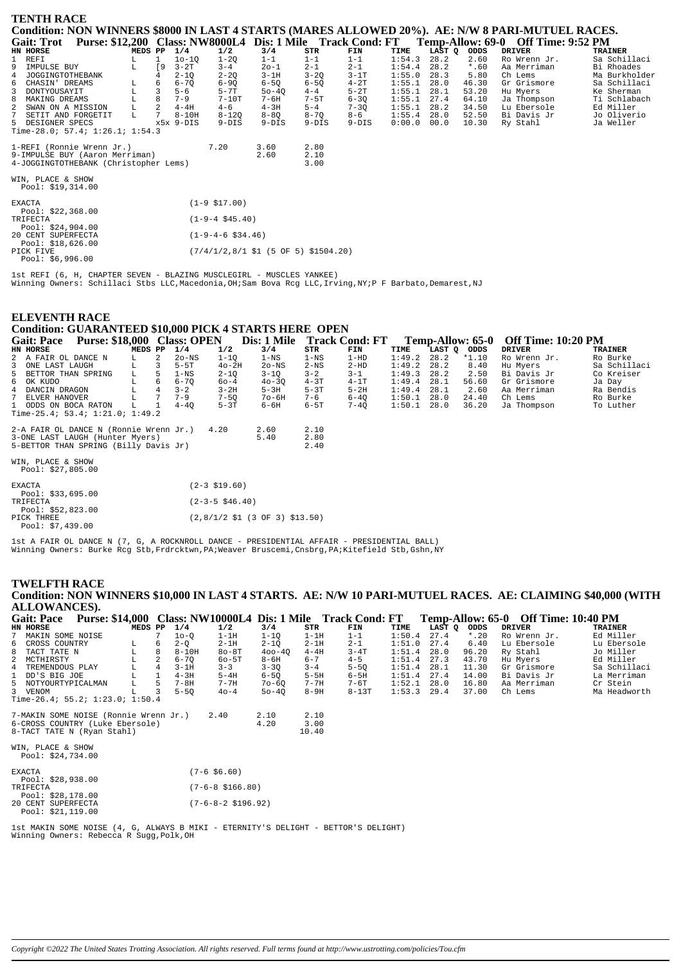| <b>TENTH RACE</b>                                                                                |             |             |           |                             |           |                                      |          |        |        |         |                                                                                               |                |
|--------------------------------------------------------------------------------------------------|-------------|-------------|-----------|-----------------------------|-----------|--------------------------------------|----------|--------|--------|---------|-----------------------------------------------------------------------------------------------|----------------|
| Condition: NON WINNERS \$8000 IN LAST 4 STARTS (MARES ALLOWED 20%). AE: N/W 8 PARI-MUTUEL RACES. |             |             |           |                             |           |                                      |          |        |        |         |                                                                                               |                |
| <b>Gait: Trot</b>                                                                                |             |             |           |                             |           |                                      |          |        |        |         | Purse: \$12,200 Class: NW8000L4 Dis: 1 Mile Track Cond: FT Temp-Allow: 69-0 Off Time: 9:52 PM |                |
| HN HORSE                                                                                         | MEDS PP     |             | 1/4       | 1/2                         | 3/4       | STR                                  | FIN      | TIME   | LAST Q | ODDS    | <b>DRIVER</b>                                                                                 | <b>TRAINER</b> |
| 1 REFI                                                                                           |             |             | $10 - 10$ | $1-2Q$                      | $1 - 1$   | $1 - 1$                              | $1 - 1$  | 1:54.3 | 28.2   | 2.60    | Ro Wrenn Jr.                                                                                  | Sa Schillaci   |
| 9<br>IMPULSE BUY                                                                                 | L.          | <b>19</b>   | $3 - 2T$  | $3 - 4$                     | $20 - 1$  | $2 - 1$                              | $2 - 1$  | 1:54.4 | 28.2   | $*$ .60 | Aa Merriman                                                                                   | Bi Rhoades     |
| 4<br>JOGGINGTOTHEBANK                                                                            |             |             | $2 - 1Q$  | $2 - 2Q$                    | $3 - 1H$  | $3-2Q$                               | $3-1T$   | 1:55.0 | 28.3   | 5.80    | Ch Lems                                                                                       | Ma Burkholder  |
| 6<br>CHASIN' DREAMS                                                                              |             |             | $6 - 7Q$  | $6-9Q$                      | $6 - 5Q$  | $6 - 5Q$                             | $4-2T$   | 1:55.1 | 28.0   | 46.30   | Gr Grismore                                                                                   | Sa Schillaci   |
| DONTYOUSAYIT                                                                                     | L           | 3           | $5 - 6$   | $5 - 7T$                    | $50 - 40$ | $4 - 4$                              | $5-2T$   | 1:55.1 | 28.1   | 53.20   | Hu Myers                                                                                      | Ke Sherman     |
| MAKING DREAMS<br>8                                                                               | $\mathbf L$ | 8           | $7 - 9$   | $7-10T$                     | 7-6H      | 7-5T                                 | $6 - 3Q$ | 1:55.1 | 27.4   | 64.10   | Ja Thompson                                                                                   | Ti Schlabach   |
| SWAN ON A MISSION                                                                                | L           | 2           | $4-4H$    | $4 - 6$                     | $4-3H$    | $5 - 4$                              | $7 - 3Q$ | 1:55.1 | 28.2   | 34.50   | Lu Ebersole                                                                                   | Ed Miller      |
| SETIT AND FORGETIT                                                                               | L           | $7^{\circ}$ | $8 - 10H$ | $8 - 120$                   | $8 - 8Q$  | $8 - 7Q$                             | $8 - 6$  | 1:55.4 | 28.0   | 52.50   | Bi Davis Jr                                                                                   | Jo Oliverio    |
| 5 DESIGNER SPECS                                                                                 |             |             | x5x 9-DIS | $9-DIS$                     | $9-DIS$   | $9-DIS$                              | $9-DIS$  | 0:00.0 | 00.0   | 10.30   | Ry Stahl                                                                                      | Ja Weller      |
| Time-28.0; 57.4; $1:26.1; 1:54.3$                                                                |             |             |           |                             |           |                                      |          |        |        |         |                                                                                               |                |
| 1-REFI (Ronnie Wrenn Jr.)                                                                        |             |             |           | 7.20                        | 3.60      | 2.80                                 |          |        |        |         |                                                                                               |                |
| 9-IMPULSE BUY (Aaron Merriman)                                                                   |             |             |           |                             | 2.60      | 2.10                                 |          |        |        |         |                                                                                               |                |
| 4-JOGGINGTOTHEBANK (Christopher Lems)                                                            |             |             |           |                             |           | 3.00                                 |          |        |        |         |                                                                                               |                |
|                                                                                                  |             |             |           |                             |           |                                      |          |        |        |         |                                                                                               |                |
| WIN, PLACE & SHOW                                                                                |             |             |           |                             |           |                                      |          |        |        |         |                                                                                               |                |
| Pool: \$19,314.00                                                                                |             |             |           |                             |           |                                      |          |        |        |         |                                                                                               |                |
|                                                                                                  |             |             |           |                             |           |                                      |          |        |        |         |                                                                                               |                |
| <b>EXACTA</b>                                                                                    |             |             |           | $(1-9 \; $17.00)$           |           |                                      |          |        |        |         |                                                                                               |                |
| Pool: $$22,368.00$                                                                               |             |             |           |                             |           |                                      |          |        |        |         |                                                                                               |                |
| TRIFECTA                                                                                         |             |             |           | $(1-9-4 \; $45.40)$         |           |                                      |          |        |        |         |                                                                                               |                |
| Pool: $$24,904.00$                                                                               |             |             |           |                             |           |                                      |          |        |        |         |                                                                                               |                |
| 20 CENT SUPERFECTA                                                                               |             |             |           | $(1-9-4-6 \text{ } $34.46)$ |           |                                      |          |        |        |         |                                                                                               |                |
| Pool: \$18,626.00                                                                                |             |             |           |                             |           |                                      |          |        |        |         |                                                                                               |                |
| PICK FIVE                                                                                        |             |             |           |                             |           | (7/4/1/2,8/1 \$1 (5 OF 5) \$1504.20) |          |        |        |         |                                                                                               |                |

DRIVER

 $28.2$ <br>  $28.1$ <br>  $28.1$ 

 $2.50$ 

 $56.60$ 

 $2.60$ 

 $24.40$ 

36.20

Hu Myers

Ch Lems

Ro Wrenn Jr.

na njere<br>Bi Davis Jr

Gr Grismore

Aa Merriman

Ja Thompson

TRAINER

Ro Burke

Sa Schillaci

Co Kreiser

Ja Day<br>Ra Bendis

Ro Burke

To Luther

PICK FIVE  $Pool: $6.996.00$ 

1st REFI (6, H, CHAPTER SEVEN - BLAZING MUSCLEGIRL - MUSCLES YANKEE)<br>Winning Owners: Schillaci Stbs LLC, Macedonia, OH; Sam Bova Rcg LLC, Irving, NY; P F Barbato, Demarest, NJ

#### **ELEVENTH RACE** Condition: GUARANTEED \$10,000 PICK 4 STARTS HERE OPEN Gait: Pace Purse: \$18,000 Class: OPEN **Dis: 1 Mile** Track Cond: FT Temp-Allow: 65-0 Off Time: 10:20 PM TIME LAST Q ODDS<br>1:49.2 28.2 \*1.10<br>1:49.2 28.2 8.40 EN HORSE<br>2 A FAIR OL DANCE N  $\frac{1}{4}$ <br> $\frac{1}{4}$ MEDS PP  $1/2$  $3/4$ <br> $1 - NS$ FIN<br>TIN<br>1-HD  ${\tt STR}$  $1 - 10$  $1-NS$  $\frac{2}{3}$  $T_{\rm A}$  $\overline{2}$ ONE LAST LAUGH<br>BETTOR THAN SPRING E  $\overline{3}$  $5 - 5T$  $40 - 2H$  $2o-NS$  $2-NS$  $2-HD$  $2-10$ <br>60-4<br>3-2H  $3-10$ <br> $40-30$ <br> $5-3H$  $1-NS$  $3 - 2$  $3 - 1$  $\overline{5}$ T.  $\overline{5}$  $1:49.3$ 3-2<br>4-3T<br>5-3T<br>5-3T<br>7-6<br>6-5T  $3 - 1$ <br> $4 - 1T$ <br> $5 - 2H$  $\overline{6}$ OK KUDO<br>OK KUDO<br>DANCIN DRAGON  $\overline{6}$  $6 - 7Q$ <br> $3 - 2$  $1:49.4$ <br> $1:49.4$ ī,  $\frac{4}{7}$  $T_{\rm H}$  $\overline{4}$ DANCIN DRAGON<br>ELVER HANOVER<br>ODDS ON BOCA RATON  $7 - 5Q$ <br> $5 - 3T$  $70 - 6H$ <br>6-6H  $6 - 4Q$ <br> $7 - 4Q$  $1:50.1$  28.0<br> $1:50.1$  28.0  $\overline{L}$  $7 - 9$  $\mathbf{L}$  $\overline{1}$  $4 - 40$  $\mathbf{1}$ Time-25.4; 53.4; 1:21.0; 1:49.2 2-A FAIR OL DANCE N (Ronnie Wrenn Jr.)  $4.20$ 2.60  $2.10$

| 3-ONE LAST LAUGH (Hunter Myers)       | 5.40 | 2.80 |
|---------------------------------------|------|------|
| 5-BETTOR THAN SPRING (Billy Davis Jr) |      | 2.40 |

| WIN, PLACE & SHOW<br>Pool: \$27,805.00               |                                                                             |
|------------------------------------------------------|-----------------------------------------------------------------------------|
| <b>EXACTA</b>                                        | $(2-3 \; $19.60)$                                                           |
| Pool: $$33,695.00$<br>TRIFECTA                       | $(2 - 3 - 5 \ $46.40)$                                                      |
| Pool: \$52,823.00<br>PICK THREE<br>Pool: $$7,439.00$ | $(2,8/1/2 \text{ } $1 \text{ } (3 \text{ } 0F \text{ } 3) \text{ } $13.50)$ |

1st A FAIR OL DANCE N (7, G, A ROCKNROLL DANCE - PRESIDENTIAL AFFAIR - PRESIDENTIAL BALL)<br>Winning Owners: Burke Rcg Stb, Frdrcktwn, PA; Weaver Bruscemi, Cnsbrg, PA; Kitefield Stb, Gshn, NY

# **TWELFTH RACE**

### Condition: NON WINNERS \$10,000 IN LAST 4 STARTS. AE: N/W 10 PARI-MUTUEL RACES. AE: CLAIMING \$40,000 (WITH ALLOWANCES).

|                                     | <b>Gait: Pace</b>                     |  |  |         |               |          |           |            |         | Purse: \$14,000 Class: NW10000L4 Dis: 1 Mile Track Cond: FT |               |        |         | Temp-Allow: 65-0 Off Time: 10:40 PM |                |
|-------------------------------------|---------------------------------------|--|--|---------|---------------|----------|-----------|------------|---------|-------------------------------------------------------------|---------------|--------|---------|-------------------------------------|----------------|
|                                     | HN HORSE                              |  |  | MEDS PP |               | 1/4      | 1/2       | 3/4        | STR     | FIN                                                         | TIME          | LAST O | ODDS    | <b>DRIVER</b>                       | <b>TRAINER</b> |
|                                     | 7 MAKIN SOME NOISE                    |  |  |         |               | $10-0$   | $1-1H$    | $1 - 10$   | $1-1H$  | $1 - 1$                                                     | 1:50.4        | 27.4   | $*$ .20 | Ro Wrenn Jr.                        | Ed Miller      |
|                                     | 6 CROSS COUNTRY                       |  |  | L       | 6             | $2 - 0$  | $2-1H$    | $2 - 10$   | $2-1H$  | $2 - 1$                                                     | 1:51.0        | 27.4   | 6.40    | Lu Ebersole                         | Lu Ebersole    |
|                                     | 8 TACT TATE N                         |  |  |         | 8             | $8-10H$  | $80 - 8T$ | $400 - 40$ | $4-4H$  | $3 - 4T$                                                    | 1:51.4        | 28.0   | 96.20   | Rv Stahl                            | Jo Miller      |
|                                     | 2 MCTHIRSTY                           |  |  |         | $\mathcal{L}$ | $6 - 70$ | $60-5T$   | 8-6H       | $6 - 7$ | $4 - 5$                                                     | 1:51.4        | 27.3   | 43.70   | Hu Myers                            | Ed Miller      |
|                                     | 4 TREMENDOUS PLAY                     |  |  |         | 4             | $3-1H$   | $3 - 3$   | $3 - 30$   | $3 - 4$ | $5 - 50$                                                    | 1:51.4        | 28.1   | 11.30   | Gr Grismore                         | Sa Schillaci   |
|                                     | 1 DD'S BIG JOE                        |  |  |         |               | $4-3H$   | $5-4H$    | $6 - 50$   | $5-5H$  | $6-5H$                                                      | 1:51.4        | 27.4   | 14.00   | Bi Davis Jr                         | La Merriman    |
|                                     | 5 NOTYOURTYPICALMAN                   |  |  | L       | 5.            | 7-8H     | $7 - 7H$  | $70 - 60$  | 7-7H    | 7-6T                                                        | 1:52.1        | 28.0   | 16.80   | Aa Merriman                         | Cr Stein       |
|                                     | 3 VENOM                               |  |  | L       |               | $5 - 50$ | $40 - 4$  | $50 - 40$  | $8-9H$  | $8-13T$                                                     | $1:53.3$ 29.4 |        | 37.00   | Ch Lems                             | Ma Headworth   |
|                                     | Time-26.4; 55.2; 1:23.0; 1:50.4       |  |  |         |               |          |           |            |         |                                                             |               |        |         |                                     |                |
|                                     | 7-MAKIN SOME NOISE (Ronnie Wrenn Jr.) |  |  |         |               |          | 2.40      | 2.10       | 2.10    |                                                             |               |        |         |                                     |                |
|                                     | 6-CROSS COUNTRY (Luke Ebersole)       |  |  |         |               |          |           | 4.20       | 3.00    |                                                             |               |        |         |                                     |                |
| 8-TACT TATE N (Ryan Stahl)<br>10.40 |                                       |  |  |         |               |          |           |            |         |                                                             |               |        |         |                                     |                |
|                                     | WIN, PLACE & SHOW                     |  |  |         |               |          |           |            |         |                                                             |               |        |         |                                     |                |
|                                     | Pool: \$24,734.00                     |  |  |         |               |          |           |            |         |                                                             |               |        |         |                                     |                |

| <b>EXACTA</b>      | $(7-6 \$6.60)$              |
|--------------------|-----------------------------|
| Pool: $$28,938.00$ |                             |
| <b>TRIFFOTA</b>    | $(7-6-8 \; \text{S}166.80)$ |
| Pool: $$28,178.00$ |                             |
| 20 CENT SUPERFECTA | $(7-6-8-2 \text{ }5196.92)$ |
| Pool: $$21.119.00$ |                             |

Ist MAKIN SOME NOISE (4, G, ALWAYS B MIKI - ETERNITY'S DELIGHT - BETTOR'S DELIGHT)<br>Winning Owners: Rebecca R Sugg, Polk, OH